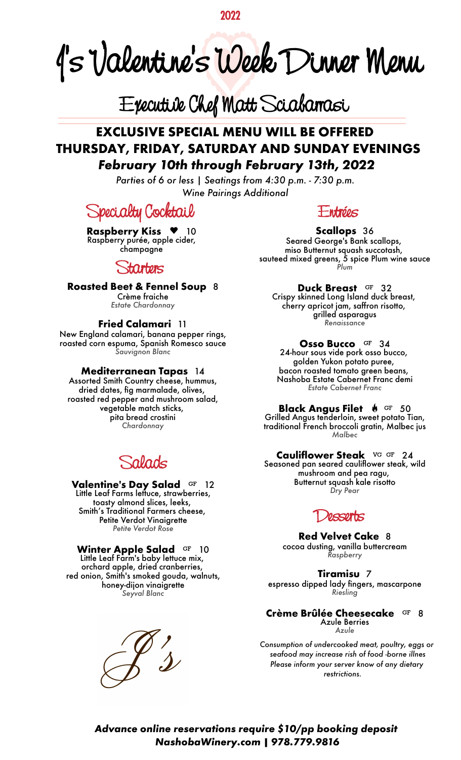**2022**

**J' s Valentine 's Week Dinner Menu**

# **Executive Chef Matt Sciabarrasi**

## **EXCLUSIVE SPECIAL MENU WILL BE OFFERED THURSDAY, FRIDAY, SATURDAY AND SUNDAY EVENINGS** *February 10th through February 13th, 2022*

*Parties of 6 or less | Seatings from 4:30 p.m. - 7:30 p.m. Wine Pairings Additional*

**Specialty Cocktail**

**Raspberry Kiss • 10** Raspberry purée, apple cider, champagne

**Starters**

**Roasted Beet & Fennel Soup** 8 Crème fraiche

*Estate Chardonnay*

#### **Fried Calamari** 11

New England calamari, banana pepper rings, roasted corn espuma, Spanish Romesco sauce *Sauvignon Blanc*

#### **Mediterranean Tapas** 14

Assorted Smith Country cheese, hummus, dried dates, fig marmalade, olives, roasted red pepper and mushroom salad, vegetable match sticks, pita bread crostini *Chardonnay*

**Salads**

**Valentine's Day Salad** 12 Little Leaf Farms lettuce, strawberries, toasty almond slices, leeks, Smith's Traditional Farmers cheese, Petite Verdot Vinaigrette *Petite Verdot Rose*

**Winter Apple Salad** <sup>GF</sup> 10 Little Leaf Farm's baby lettuce mix, orchard apple, dried cranberries, red onion, Smith's smoked gouda, walnuts, honey-dijon vinaigrette *Seyval Blanc*



**Entrées**

#### **Scallops** 36

Seared George's Bank scallops, miso Butternut squash succotash, sauteed mixed greens, 5 spice Plum wine sauce *Plum*

**Duck Breast** 32 Crispy skinned Long Island duck breast, cherry apricot jam, saffron risotto, grilled asparagus *Renaissance*

**Osso Bucco** 34 24-hour sous vide pork osso bucco, golden Yukon potato puree, bacon roasted tomato green beans, Nashoba Estate Cabernet Franc demi *Estate Cabernet Franc*

**Black Angus Filet**  $\bullet$  <sup>GF</sup> 50 Grilled Angus tenderloin, sweet potato Tian, traditional French broccoli gratin, Malbec jus *Malbec*

**Cauliflower Steak** VG GF 24 Seasoned pan seared cauliflower steak, wild mushroom and pea ragu, Butternut squash kale risotto *Dry Pear*

## **Desserts**

**Red Velvet Cake** 8 cocoa dusting, vanilla buttercream *Raspberry*

**Tiramisu** 7

espresso dipped lady fingers, mascarpone *Riesling*

**Crème Brûlée Cheesecake** GF 8 Azule Berries *Azule*

*Consumption of undercooked meat, poultry, eggs or seafood may increase rish of food -borne illnes Please inform your server know of any dietary restrictions.* 

#### *Advance online reservations require \$10/pp booking deposit NashobaWinery.com | 978.779.9816*